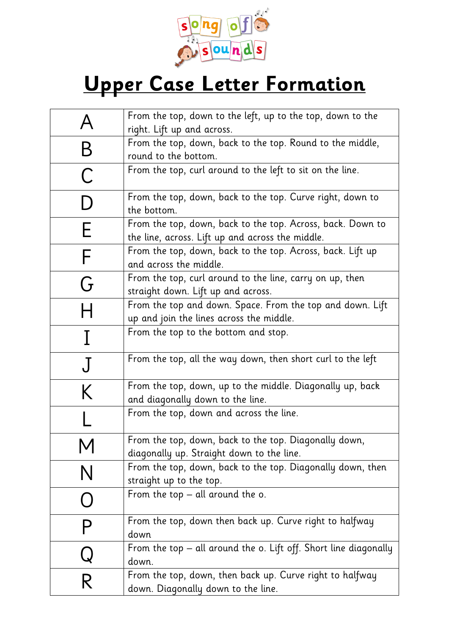

## **Upper Case Letter Formation**

| A           | From the top, down to the left, up to the top, down to the                                                     |
|-------------|----------------------------------------------------------------------------------------------------------------|
|             | right. Lift up and across.                                                                                     |
| B           | From the top, down, back to the top. Round to the middle,                                                      |
|             | round to the bottom.                                                                                           |
| $\mathsf C$ | From the top, curl around to the left to sit on the line.                                                      |
| D           | From the top, down, back to the top. Curve right, down to<br>the bottom.                                       |
| Е           | From the top, down, back to the top. Across, back. Down to<br>the line, across. Lift up and across the middle. |
| F           | From the top, down, back to the top. Across, back. Lift up<br>and across the middle.                           |
| G           | From the top, curl around to the line, carry on up, then<br>straight down. Lift up and across.                 |
| Н           | From the top and down. Space. From the top and down. Lift<br>up and join the lines across the middle.          |
| I           | From the top to the bottom and stop.                                                                           |
| $\rm J$     | From the top, all the way down, then short curl to the left                                                    |
| K           | From the top, down, up to the middle. Diagonally up, back<br>and diagonally down to the line.                  |
|             | From the top, down and across the line.                                                                        |
| M           | From the top, down, back to the top. Diagonally down,<br>diagonally up. Straight down to the line.             |
| N           | From the top, down, back to the top. Diagonally down, then<br>straight up to the top.                          |
|             | From the top $-$ all around the o.                                                                             |
|             | From the top, down then back up. Curve right to halfway<br>down                                                |
|             | From the top – all around the o. Lift off. Short line diagonally<br>down.                                      |
| R           | From the top, down, then back up. Curve right to halfway<br>down. Diagonally down to the line.                 |